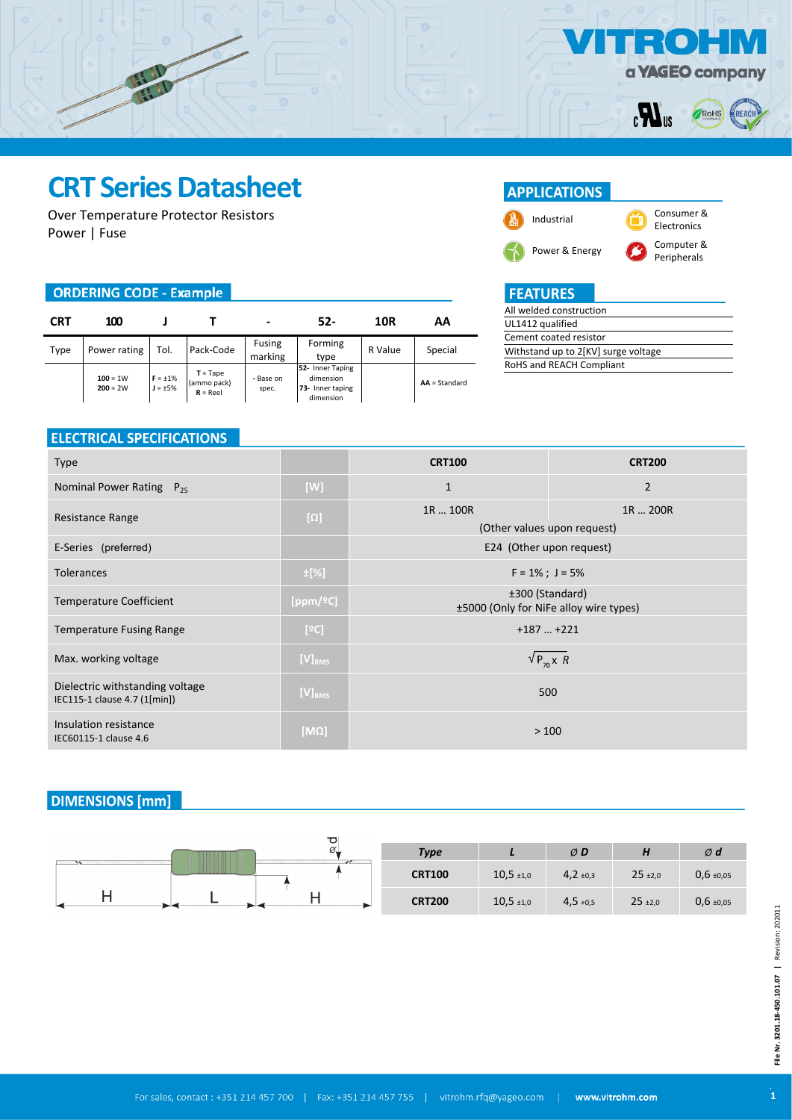

ROHS

REAC

 $=$  (o)

 $\boldsymbol{H}_3$ 

## **CRT Series Datasheet**

Over Temperature Protector Resistors Power | Fuse

#### **ORDERING CODE - Example**

| CRT  | 100                      |                                |                                         | -                  | 52-                                                            | 10R     | ΑA              |
|------|--------------------------|--------------------------------|-----------------------------------------|--------------------|----------------------------------------------------------------|---------|-----------------|
| Type | Power rating             | Tol.                           | Pack-Code                               | Fusing<br>marking  | Forming<br>type                                                | R Value | Special         |
|      | $100 = 1W$<br>$200 = 2W$ | $F = \pm 1\%$<br>$J = \pm 5\%$ | $T = Tape$<br>(ammo pack)<br>$R = Reel$ | - Base on<br>spec. | 52- Inner Taping<br>dimension<br>73- Inner taping<br>dimension |         | $AA = Standard$ |

### **APPLICATIONS**



## **FEATURES**

| All welded construction             |  |
|-------------------------------------|--|
| UL1412 qualified                    |  |
| Cement coated resistor              |  |
| Withstand up to 2[KV] surge voltage |  |
| RoHS and REACH Compliant            |  |
|                                     |  |

### **ELECTRICAL SPECIFICATIONS**

| <b>Type</b>                                                     |             | <b>CRT100</b>                                             | <b>CRT200</b>                           |  |
|-----------------------------------------------------------------|-------------|-----------------------------------------------------------|-----------------------------------------|--|
| Nominal Power Rating $P_{25}$                                   | [W]         | $\mathbf{1}$                                              | $\overline{2}$                          |  |
| Resistance Range                                                | $[\Omega]$  | 1R  100R                                                  | 1R  200R<br>(Other values upon request) |  |
| E-Series (preferred)                                            |             | E24 (Other upon request)                                  |                                         |  |
| <b>Tolerances</b>                                               | $\pm$ [%]   | $F = 1\%$ ; J = 5%                                        |                                         |  |
| Temperature Coefficient                                         | [ppm/ºC]    | ±300 (Standard)<br>±5000 (Only for NiFe alloy wire types) |                                         |  |
| <b>Temperature Fusing Range</b>                                 | [°C]        | $+187+221$                                                |                                         |  |
| Max. working voltage                                            | $[V]_{RMS}$ | $\sqrt{P_{70} \times R}$                                  |                                         |  |
| Dielectric withstanding voltage<br>IEC115-1 clause 4.7 (1[min]) | $[V]_{RMS}$ | 500                                                       |                                         |  |
| Insulation resistance<br>IEC60115-1 clause 4.6                  | $[M\Omega]$ | >100                                                      |                                         |  |

### **DIMENSIONS** [mm]

| ठ<br>ØT | <b>Type</b>   |                | ØD         | . .          | $\emptyset$ d  |
|---------|---------------|----------------|------------|--------------|----------------|
|         | <b>CRT100</b> | $10,5 \pm 1,0$ | 4,2,10,3   | $25 \pm 2,0$ | $0,6 \pm 0.05$ |
| ►       | <b>CRT200</b> | $10,5 \pm 1,0$ | $4,5 +0,5$ | $25 \pm 2,0$ | $0,6 \pm 0.05$ |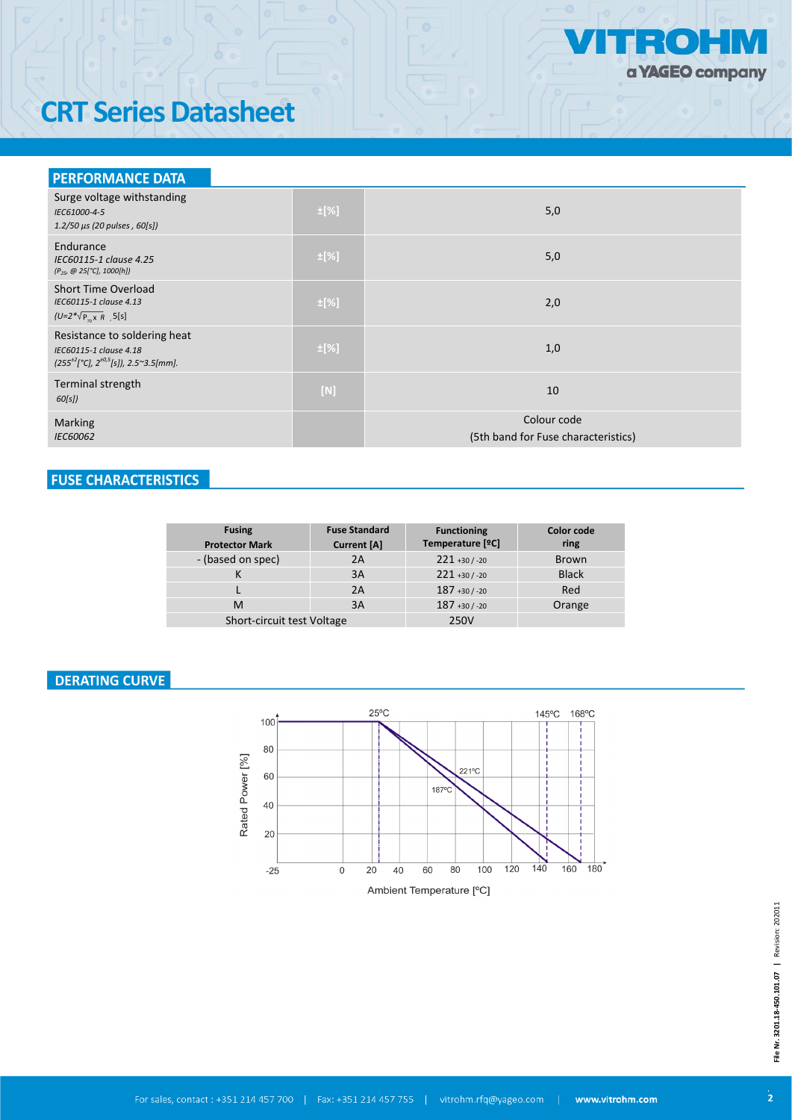

# **CRT Series Datasheet**

| <b>PERFORMANCE DATA</b>                                                                                          |           |                                                    |
|------------------------------------------------------------------------------------------------------------------|-----------|----------------------------------------------------|
| Surge voltage withstanding<br>IEC61000-4-5<br>1.2/50 μs (20 pulses, 60[s])                                       | $\pm$ [%] | 5,0                                                |
| Endurance<br>IEC60115-1 clause 4.25<br>$(P_{25}, @ 25[°C], 1000[h])$                                             | $\pm$ [%] | 5,0                                                |
| <b>Short Time Overload</b><br>IEC60115-1 clause 4.13<br>$(U=2^*\sqrt{P_{n}X}R$ 5[s]                              | $\pm$ [%] | 2,0                                                |
| Resistance to soldering heat<br>IEC60115-1 clause 4.18<br>$(255^{+2})^{\circ}$ C], $2^{+0.5}$ [s]), 2.5~3.5[mm]. | $\pm$ [%] | 1,0                                                |
| Terminal strength<br>60[s])                                                                                      | $[N]$     | 10                                                 |
| Marking<br>IEC60062                                                                                              |           | Colour code<br>(5th band for Fuse characteristics) |

## **FUSE CHARACTERISTICS**

| <b>Fusing</b><br><b>Protector Mark</b> | <b>Fuse Standard</b><br>Current [A] | <b>Functioning</b><br>Temperature [°C] | <b>Color code</b><br>ring |
|----------------------------------------|-------------------------------------|----------------------------------------|---------------------------|
| - (based on spec)                      | 2A                                  | $221 + 30 / -20$                       | <b>Brown</b>              |
|                                        | 3A                                  | $221 + 30 / -20$                       | <b>Black</b>              |
|                                        | 2A                                  | $187 + 30 / -20$                       | Red                       |
| м                                      | 3A                                  | $187 + 30 / -20$                       | Orange                    |
| Short-circuit test Voltage             |                                     | 250V                                   |                           |

## **DERATING CURVE**

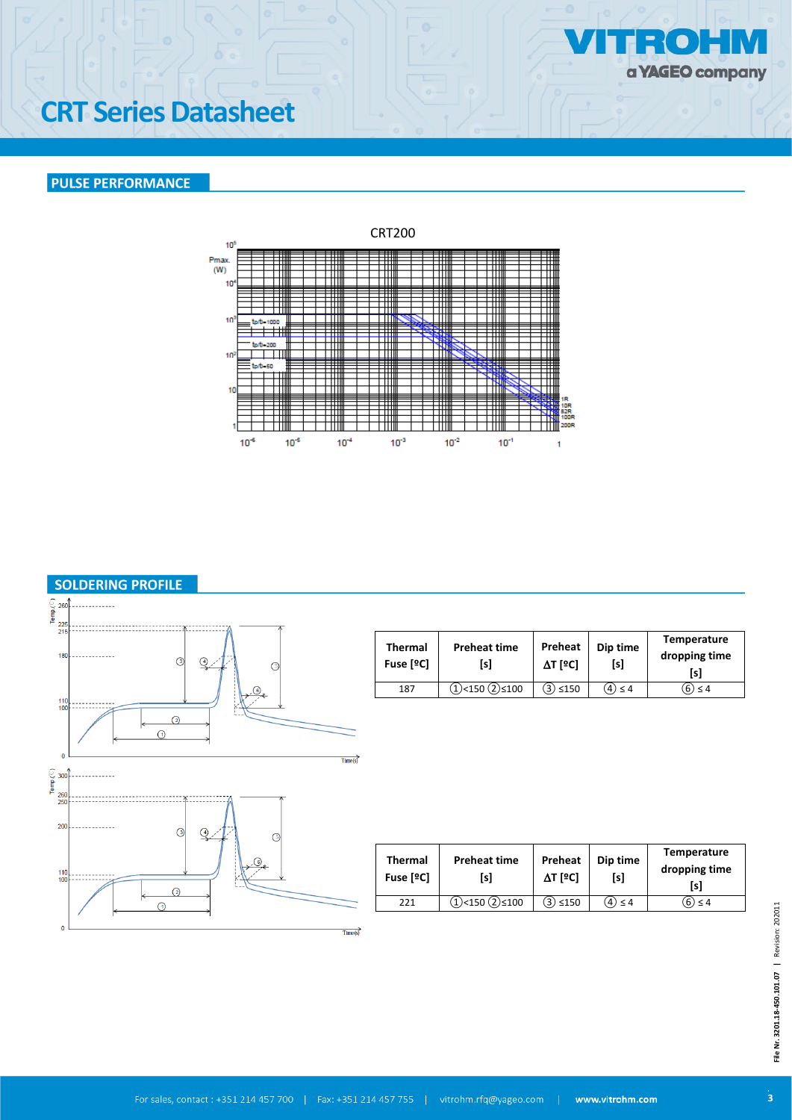

# **CRT Series Datasheet**

### **PULSE PERFORMANCE**





**Temperature dropping time [s]**

**Temperature dropping time [s]**